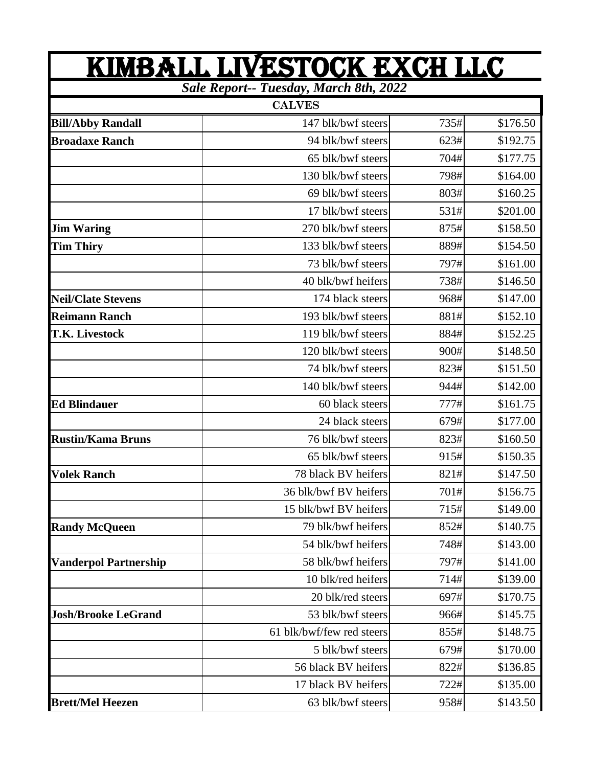| <u>KIMBALL LIVESTOCK EXCH LLC</u><br><b>Sale Report-- Tuesday, March 8th, 2022</b> |                           |      |          |
|------------------------------------------------------------------------------------|---------------------------|------|----------|
|                                                                                    |                           |      |          |
| <b>Bill/Abby Randall</b>                                                           | 147 blk/bwf steers        | 735# | \$176.50 |
| <b>Broadaxe Ranch</b>                                                              | 94 blk/bwf steers         | 623# | \$192.75 |
|                                                                                    | 65 blk/bwf steers         | 704# | \$177.75 |
|                                                                                    | 130 blk/bwf steers        | 798# | \$164.00 |
|                                                                                    | 69 blk/bwf steers         | 803# | \$160.25 |
|                                                                                    | 17 blk/bwf steers         | 531# | \$201.00 |
| <b>Jim Waring</b>                                                                  | 270 blk/bwf steers        | 875# | \$158.50 |
| <b>Tim Thiry</b>                                                                   | 133 blk/bwf steers        | 889# | \$154.50 |
|                                                                                    | 73 blk/bwf steers         | 797# | \$161.00 |
|                                                                                    | 40 blk/bwf heifers        | 738# | \$146.50 |
| <b>Neil/Clate Stevens</b>                                                          | 174 black steers          | 968# | \$147.00 |
| <b>Reimann Ranch</b>                                                               | 193 blk/bwf steers        | 881# | \$152.10 |
| <b>T.K. Livestock</b>                                                              | 119 blk/bwf steers        | 884# | \$152.25 |
|                                                                                    | 120 blk/bwf steers        | 900# | \$148.50 |
|                                                                                    | 74 blk/bwf steers         | 823# | \$151.50 |
|                                                                                    | 140 blk/bwf steers        | 944# | \$142.00 |
| <b>Ed Blindauer</b>                                                                | 60 black steers           | 777# | \$161.75 |
|                                                                                    | 24 black steers           | 679# | \$177.00 |
| <b>Rustin/Kama Bruns</b>                                                           | 76 blk/bwf steers         | 823# | \$160.50 |
|                                                                                    | 65 blk/bwf steers         | 915# | \$150.35 |
| <b>Volek Ranch</b>                                                                 | 78 black BV heifers       | 821# | \$147.50 |
|                                                                                    | 36 blk/bwf BV heifers     | 701# | \$156.75 |
|                                                                                    | 15 blk/bwf BV heifers     | 715# | \$149.00 |
| <b>Randy McQueen</b>                                                               | 79 blk/bwf heifers        | 852# | \$140.75 |
|                                                                                    | 54 blk/bwf heifers        | 748# | \$143.00 |
| <b>Vanderpol Partnership</b>                                                       | 58 blk/bwf heifers        | 797# | \$141.00 |
|                                                                                    | 10 blk/red heifers        | 714# | \$139.00 |
|                                                                                    | 20 blk/red steers         | 697# | \$170.75 |
| <b>Josh/Brooke LeGrand</b>                                                         | 53 blk/bwf steers         | 966# | \$145.75 |
|                                                                                    | 61 blk/bwf/few red steers | 855# | \$148.75 |
|                                                                                    | 5 blk/bwf steers          | 679# | \$170.00 |
|                                                                                    | 56 black BV heifers       | 822# | \$136.85 |
|                                                                                    | 17 black BV heifers       | 722# | \$135.00 |
| <b>Brett/Mel Heezen</b>                                                            | 63 blk/bwf steers         | 958# | \$143.50 |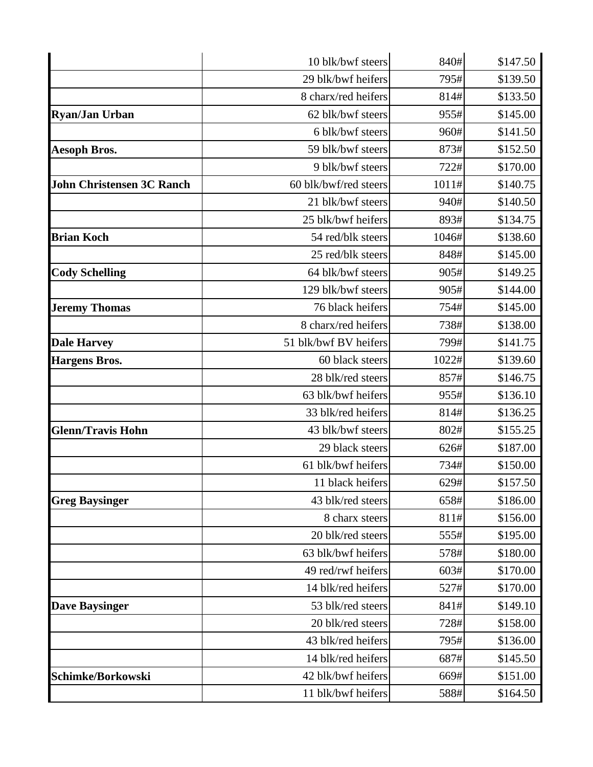|                                  | 10 blk/bwf steers     | 840#  | \$147.50 |
|----------------------------------|-----------------------|-------|----------|
|                                  | 29 blk/bwf heifers    | 795#  | \$139.50 |
|                                  | 8 charx/red heifers   | 814#  | \$133.50 |
| <b>Ryan/Jan Urban</b>            | 62 blk/bwf steers     | 955#  | \$145.00 |
|                                  | 6 blk/bwf steers      | 960#  | \$141.50 |
| <b>Aesoph Bros.</b>              | 59 blk/bwf steers     | 873#  | \$152.50 |
|                                  | 9 blk/bwf steers      | 722#  | \$170.00 |
| <b>John Christensen 3C Ranch</b> | 60 blk/bwf/red steers | 1011# | \$140.75 |
|                                  | 21 blk/bwf steers     | 940#  | \$140.50 |
|                                  | 25 blk/bwf heifers    | 893#  | \$134.75 |
| <b>Brian Koch</b>                | 54 red/blk steers     | 1046# | \$138.60 |
|                                  | 25 red/blk steers     | 848#  | \$145.00 |
| <b>Cody Schelling</b>            | 64 blk/bwf steers     | 905#  | \$149.25 |
|                                  | 129 blk/bwf steers    | 905#  | \$144.00 |
| <b>Jeremy Thomas</b>             | 76 black heifers      | 754#  | \$145.00 |
|                                  | 8 charx/red heifers   | 738#  | \$138.00 |
| <b>Dale Harvey</b>               | 51 blk/bwf BV heifers | 799#  | \$141.75 |
| <b>Hargens Bros.</b>             | 60 black steers       | 1022# | \$139.60 |
|                                  | 28 blk/red steers     | 857#  | \$146.75 |
|                                  | 63 blk/bwf heifers    | 955#  | \$136.10 |
|                                  | 33 blk/red heifers    | 814#  | \$136.25 |
| <b>Glenn/Travis Hohn</b>         | 43 blk/bwf steers     | 802#  | \$155.25 |
|                                  | 29 black steers       | 626#  | \$187.00 |
|                                  | 61 blk/bwf heifers    | 734#  | \$150.00 |
|                                  | 11 black heifers      | 629#  | \$157.50 |
| <b>Greg Baysinger</b>            | 43 blk/red steers     | 658#  | \$186.00 |
|                                  | 8 charx steers        | 811#  | \$156.00 |
|                                  | 20 blk/red steers     | 555#  | \$195.00 |
|                                  | 63 blk/bwf heifers    | 578#  | \$180.00 |
|                                  | 49 red/rwf heifers    | 603#  | \$170.00 |
|                                  | 14 blk/red heifers    | 527#  | \$170.00 |
| <b>Dave Baysinger</b>            | 53 blk/red steers     | 841#  | \$149.10 |
|                                  | 20 blk/red steers     | 728#  | \$158.00 |
|                                  | 43 blk/red heifers    | 795#  | \$136.00 |
|                                  | 14 blk/red heifers    | 687#  | \$145.50 |
| Schimke/Borkowski                | 42 blk/bwf heifers    | 669#  | \$151.00 |
|                                  | 11 blk/bwf heifers    | 588#  | \$164.50 |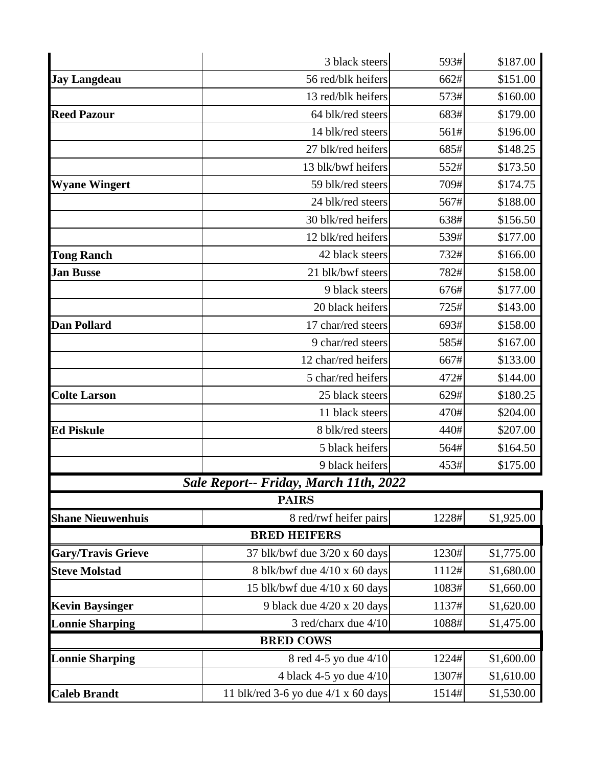|                           | 3 black steers                                | 593#  | \$187.00   |  |
|---------------------------|-----------------------------------------------|-------|------------|--|
| <b>Jay Langdeau</b>       | 56 red/blk heifers                            | 662#  | \$151.00   |  |
|                           | 13 red/blk heifers                            | 573#  | \$160.00   |  |
| <b>Reed Pazour</b>        | 64 blk/red steers                             | 683#  | \$179.00   |  |
|                           | 14 blk/red steers                             | 561#  | \$196.00   |  |
|                           | 27 blk/red heifers                            | 685#  | \$148.25   |  |
|                           | 13 blk/bwf heifers                            | 552#  | \$173.50   |  |
| <b>Wyane Wingert</b>      | 59 blk/red steers                             | 709#  | \$174.75   |  |
|                           | 24 blk/red steers                             | 567#  | \$188.00   |  |
|                           | 30 blk/red heifers                            | 638#  | \$156.50   |  |
|                           | 12 blk/red heifers                            | 539#  | \$177.00   |  |
| <b>Tong Ranch</b>         | 42 black steers                               | 732#  | \$166.00   |  |
| <b>Jan Busse</b>          | 21 blk/bwf steers                             | 782#  | \$158.00   |  |
|                           | 9 black steers                                | 676#  | \$177.00   |  |
|                           | 20 black heifers                              | 725#  | \$143.00   |  |
| <b>Dan Pollard</b>        | 17 char/red steers                            | 693#  | \$158.00   |  |
|                           | 9 char/red steers                             | 585#  | \$167.00   |  |
|                           | 12 char/red heifers                           | 667#  | \$133.00   |  |
|                           | 5 char/red heifers                            | 472#  | \$144.00   |  |
| <b>Colte Larson</b>       | 25 black steers                               | 629#  | \$180.25   |  |
|                           | 11 black steers                               | 470#  | \$204.00   |  |
| <b>Ed Piskule</b>         | 8 blk/red steers                              | 440#  | \$207.00   |  |
|                           | 5 black heifers                               | 564#  | \$164.50   |  |
|                           | 9 black heifers                               | 453#  | \$175.00   |  |
|                           | <b>Sale Report-- Friday, March 11th, 2022</b> |       |            |  |
|                           | <b>PAIRS</b>                                  |       |            |  |
| <b>Shane Nieuwenhuis</b>  | 8 red/rwf heifer pairs                        | 1228# | \$1,925.00 |  |
|                           | <b>BRED HEIFERS</b>                           |       |            |  |
| <b>Gary/Travis Grieve</b> | 37 blk/bwf due $3/20$ x 60 days               | 1230# | \$1,775.00 |  |
| <b>Steve Molstad</b>      | 8 blk/bwf due 4/10 x 60 days                  | 1112# | \$1,680.00 |  |
|                           | 15 blk/bwf due 4/10 x 60 days                 | 1083# | \$1,660.00 |  |
| <b>Kevin Baysinger</b>    | 9 black due 4/20 x 20 days                    | 1137# | \$1,620.00 |  |
| <b>Lonnie Sharping</b>    | 3 red/charx due 4/10                          | 1088# | \$1,475.00 |  |
| <b>BRED COWS</b>          |                                               |       |            |  |
| <b>Lonnie Sharping</b>    | 8 red 4-5 yo due 4/10                         | 1224# | \$1,600.00 |  |
|                           | 4 black 4-5 yo due 4/10                       | 1307# | \$1,610.00 |  |
| <b>Caleb Brandt</b>       | 11 blk/red 3-6 yo due $4/1 \times 60$ days    | 1514# | \$1,530.00 |  |